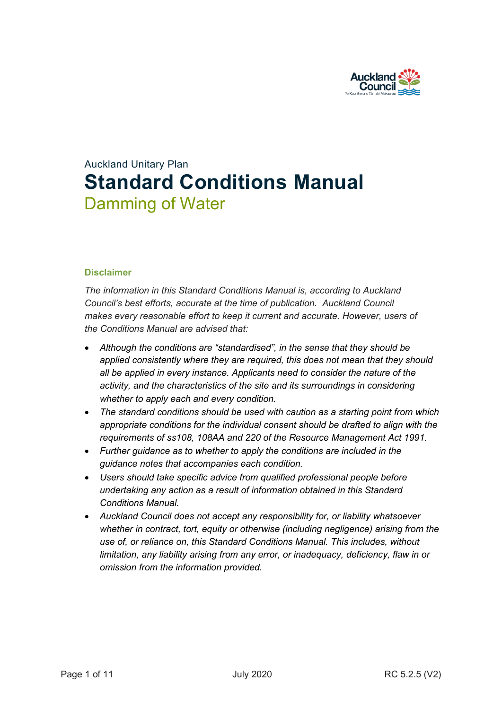

# Auckland Unitary Plan **Standard Conditions Manual** Damming of Water

## **Disclaimer**

*The information in this Standard Conditions Manual is, according to Auckland Council's best efforts, accurate at the time of publication. Auckland Council makes every reasonable effort to keep it current and accurate. However, users of the Conditions Manual are advised that:* 

- *Although the conditions are "standardised", in the sense that they should be applied consistently where they are required, this does not mean that they should all be applied in every instance. Applicants need to consider the nature of the activity, and the characteristics of the site and its surroundings in considering whether to apply each and every condition.*
- *The standard conditions should be used with caution as a starting point from which appropriate conditions for the individual consent should be drafted to align with the requirements of ss108, 108AA and 220 of the Resource Management Act 1991.*
- *Further guidance as to whether to apply the conditions are included in the guidance notes that accompanies each condition.*
- *Users should take specific advice from qualified professional people before undertaking any action as a result of information obtained in this Standard Conditions Manual.*
- *Auckland Council does not accept any responsibility for, or liability whatsoever whether in contract, tort, equity or otherwise (including negligence) arising from the use of, or reliance on, this Standard Conditions Manual. This includes, without limitation, any liability arising from any error, or inadequacy, deficiency, flaw in or omission from the information provided.*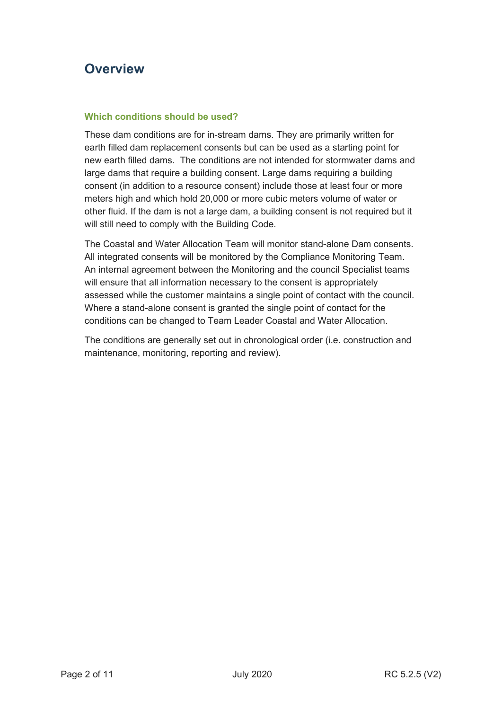## **Overview**

## **Which conditions should be used?**

These dam conditions are for in-stream dams. They are primarily written for earth filled dam replacement consents but can be used as a starting point for new earth filled dams. The conditions are not intended for stormwater dams and large dams that require a building consent. Large dams requiring a building consent (in addition to a resource consent) include those at least four or more meters high and which hold 20,000 or more cubic meters volume of water or other fluid. If the dam is not a large dam, a building consent is not required but it will still need to comply with the Building Code.

The Coastal and Water Allocation Team will monitor stand-alone Dam consents. All integrated consents will be monitored by the Compliance Monitoring Team. An internal agreement between the Monitoring and the council Specialist teams will ensure that all information necessary to the consent is appropriately assessed while the customer maintains a single point of contact with the council. Where a stand-alone consent is granted the single point of contact for the conditions can be changed to Team Leader Coastal and Water Allocation.

The conditions are generally set out in chronological order (i.e. construction and maintenance, monitoring, reporting and review).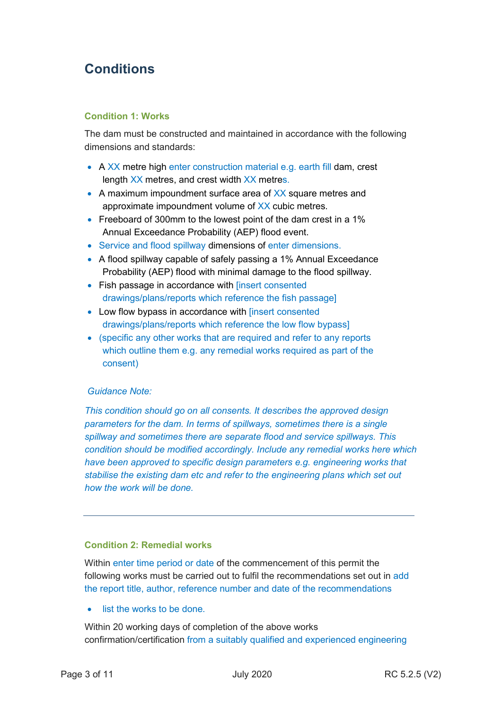## **Conditions**

## **Condition 1: Works**

The dam must be constructed and maintained in accordance with the following dimensions and standards:

- A XX metre high enter construction material e.g. earth fill dam, crest length XX metres, and crest width XX metres.
- A maximum impoundment surface area of XX square metres and approximate impoundment volume of XX cubic metres.
- Freeboard of 300mm to the lowest point of the dam crest in a 1% Annual Exceedance Probability (AEP) flood event.
- Service and flood spillway dimensions of enter dimensions.
- A flood spillway capable of safely passing a 1% Annual Exceedance Probability (AEP) flood with minimal damage to the flood spillway.
- Fish passage in accordance with [insert consented drawings/plans/reports which reference the fish passage]
- Low flow bypass in accordance with [insert consented drawings/plans/reports which reference the low flow bypass]
- (specific any other works that are required and refer to any reports which outline them e.g. any remedial works required as part of the consent)

## *Guidance Note:*

*This condition should go on all consents. It describes the approved design parameters for the dam. In terms of spillways, sometimes there is a single spillway and sometimes there are separate flood and service spillways. This condition should be modified accordingly. Include any remedial works here which have been approved to specific design parameters e.g. engineering works that stabilise the existing dam etc and refer to the engineering plans which set out how the work will be done.* 

### **Condition 2: Remedial works**

Within enter time period or date of the commencement of this permit the following works must be carried out to fulfil the recommendations set out in add the report title, author, reference number and date of the recommendations

• list the works to be done.

Within 20 working days of completion of the above works confirmation/certification from a suitably qualified and experienced engineering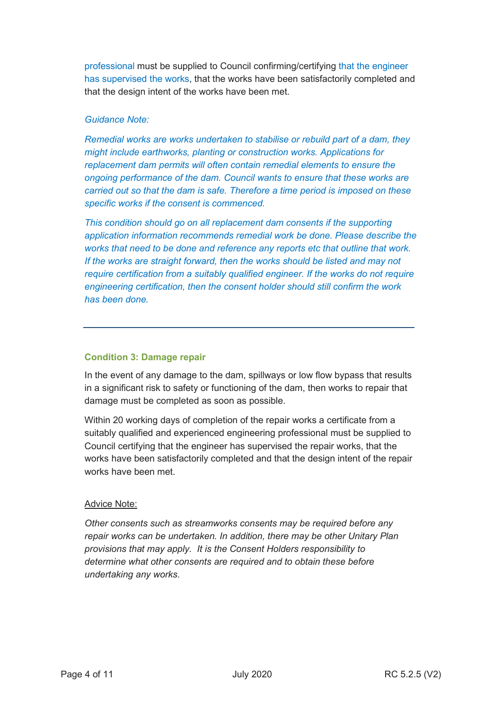professional must be supplied to Council confirming/certifying that the engineer has supervised the works, that the works have been satisfactorily completed and that the design intent of the works have been met.

## *Guidance Note:*

*Remedial works are works undertaken to stabilise or rebuild part of a dam, they might include earthworks, planting or construction works. Applications for replacement dam permits will often contain remedial elements to ensure the ongoing performance of the dam. Council wants to ensure that these works are carried out so that the dam is safe. Therefore a time period is imposed on these specific works if the consent is commenced.* 

*This condition should go on all replacement dam consents if the supporting application information recommends remedial work be done. Please describe the works that need to be done and reference any reports etc that outline that work. If the works are straight forward, then the works should be listed and may not require certification from a suitably qualified engineer. If the works do not require engineering certification, then the consent holder should still confirm the work has been done.* 

## **Condition 3: Damage repair**

In the event of any damage to the dam, spillways or low flow bypass that results in a significant risk to safety or functioning of the dam, then works to repair that damage must be completed as soon as possible.

Within 20 working days of completion of the repair works a certificate from a suitably qualified and experienced engineering professional must be supplied to Council certifying that the engineer has supervised the repair works, that the works have been satisfactorily completed and that the design intent of the repair works have been met.

## Advice Note:

*Other consents such as streamworks consents may be required before any repair works can be undertaken. In addition, there may be other Unitary Plan provisions that may apply. It is the Consent Holders responsibility to determine what other consents are required and to obtain these before undertaking any works.*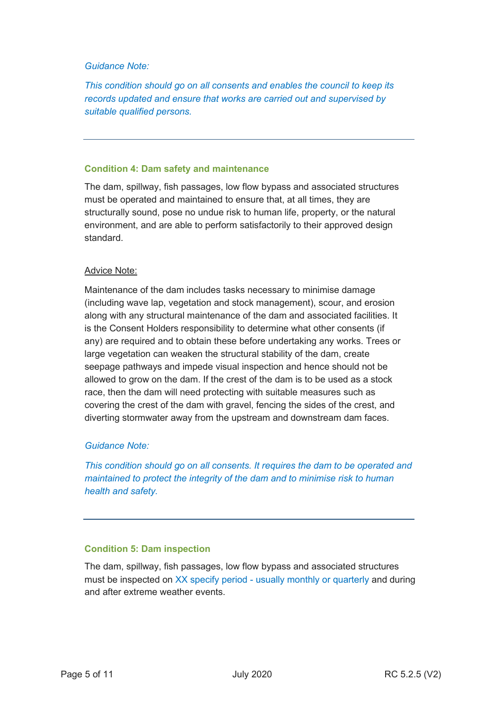## *Guidance Note:*

*This condition should go on all consents and enables the council to keep its records updated and ensure that works are carried out and supervised by suitable qualified persons.* 

## **Condition 4: Dam safety and maintenance**

The dam, spillway, fish passages, low flow bypass and associated structures must be operated and maintained to ensure that, at all times, they are structurally sound, pose no undue risk to human life, property, or the natural environment, and are able to perform satisfactorily to their approved design standard.

## Advice Note:

Maintenance of the dam includes tasks necessary to minimise damage (including wave lap, vegetation and stock management), scour, and erosion along with any structural maintenance of the dam and associated facilities. It is the Consent Holders responsibility to determine what other consents (if any) are required and to obtain these before undertaking any works. Trees or large vegetation can weaken the structural stability of the dam, create seepage pathways and impede visual inspection and hence should not be allowed to grow on the dam. If the crest of the dam is to be used as a stock race, then the dam will need protecting with suitable measures such as covering the crest of the dam with gravel, fencing the sides of the crest, and diverting stormwater away from the upstream and downstream dam faces.

## *Guidance Note:*

*This condition should go on all consents. It requires the dam to be operated and maintained to protect the integrity of the dam and to minimise risk to human health and safety.* 

### **Condition 5: Dam inspection**

The dam, spillway, fish passages, low flow bypass and associated structures must be inspected on XX specify period - usually monthly or quarterly and during and after extreme weather events.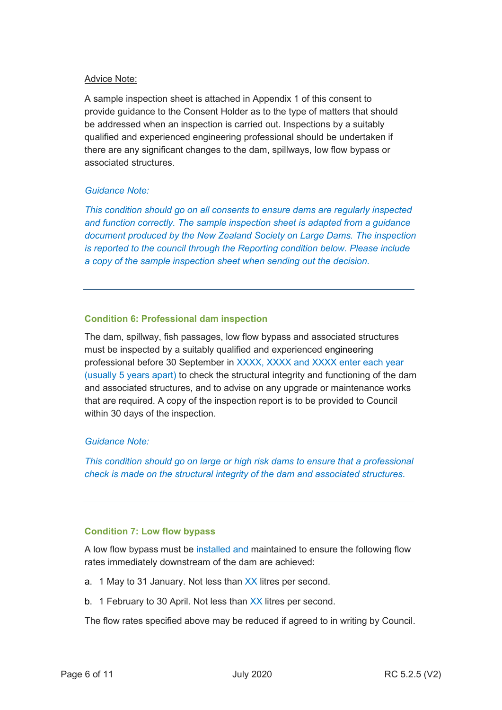## Advice Note:

A sample inspection sheet is attached in Appendix 1 of this consent to provide guidance to the Consent Holder as to the type of matters that should be addressed when an inspection is carried out. Inspections by a suitably qualified and experienced engineering professional should be undertaken if there are any significant changes to the dam, spillways, low flow bypass or associated structures.

## *Guidance Note:*

*This condition should go on all consents to ensure dams are regularly inspected and function correctly. The sample inspection sheet is adapted from a guidance document produced by the New Zealand Society on Large Dams. The inspection is reported to the council through the Reporting condition below. Please include a copy of the sample inspection sheet when sending out the decision.* 

## **Condition 6: Professional dam inspection**

The dam, spillway, fish passages, low flow bypass and associated structures must be inspected by a suitably qualified and experienced engineering professional before 30 September in XXXX, XXXX and XXXX enter each year (usually 5 years apart) to check the structural integrity and functioning of the dam and associated structures, and to advise on any upgrade or maintenance works that are required. A copy of the inspection report is to be provided to Council within 30 days of the inspection.

## *Guidance Note:*

*This condition should go on large or high risk dams to ensure that a professional check is made on the structural integrity of the dam and associated structures.* 

## **Condition 7: Low flow bypass**

A low flow bypass must be installed and maintained to ensure the following flow rates immediately downstream of the dam are achieved:

- a. 1 May to 31 January. Not less than XX litres per second.
- b. 1 February to 30 April. Not less than XX litres per second.

The flow rates specified above may be reduced if agreed to in writing by Council.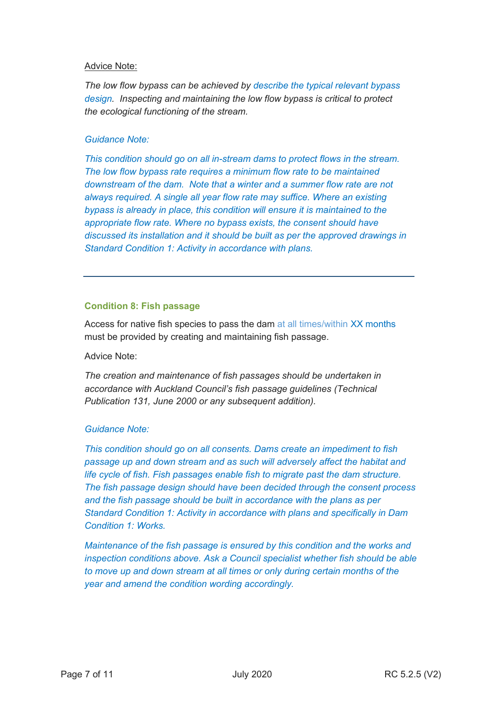## Advice Note:

*The low flow bypass can be achieved by describe the typical relevant bypass design. Inspecting and maintaining the low flow bypass is critical to protect the ecological functioning of the stream.* 

## *Guidance Note:*

*This condition should go on all in-stream dams to protect flows in the stream. The low flow bypass rate requires a minimum flow rate to be maintained downstream of the dam. Note that a winter and a summer flow rate are not always required. A single all year flow rate may suffice. Where an existing bypass is already in place, this condition will ensure it is maintained to the appropriate flow rate. Where no bypass exists, the consent should have discussed its installation and it should be built as per the approved drawings in Standard Condition 1: Activity in accordance with plans.* 

## **Condition 8: Fish passage**

Access for native fish species to pass the dam at all times/within XX months must be provided by creating and maintaining fish passage.

Advice Note:

*The creation and maintenance of fish passages should be undertaken in accordance with Auckland Council's fish passage guidelines (Technical Publication 131, June 2000 or any subsequent addition).* 

## *Guidance Note:*

*This condition should go on all consents. Dams create an impediment to fish passage up and down stream and as such will adversely affect the habitat and life cycle of fish. Fish passages enable fish to migrate past the dam structure. The fish passage design should have been decided through the consent process and the fish passage should be built in accordance with the plans as per Standard Condition 1: Activity in accordance with plans and specifically in Dam Condition 1: Works.* 

*Maintenance of the fish passage is ensured by this condition and the works and inspection conditions above. Ask a Council specialist whether fish should be able to move up and down stream at all times or only during certain months of the year and amend the condition wording accordingly.*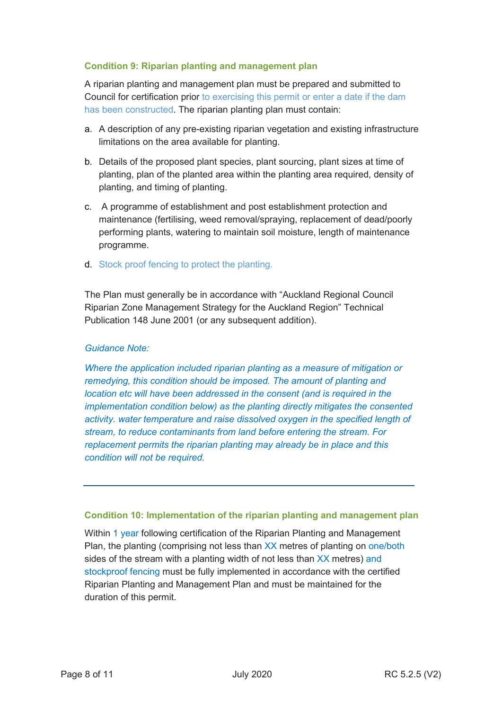## **Condition 9: Riparian planting and management plan**

A riparian planting and management plan must be prepared and submitted to Council for certification prior to exercising this permit or enter a date if the dam has been constructed. The riparian planting plan must contain:

- a. A description of any pre-existing riparian vegetation and existing infrastructure limitations on the area available for planting.
- b. Details of the proposed plant species, plant sourcing, plant sizes at time of planting, plan of the planted area within the planting area required, density of planting, and timing of planting.
- c. A programme of establishment and post establishment protection and maintenance (fertilising, weed removal/spraying, replacement of dead/poorly performing plants, watering to maintain soil moisture, length of maintenance programme.
- d. Stock proof fencing to protect the planting.

The Plan must generally be in accordance with "Auckland Regional Council Riparian Zone Management Strategy for the Auckland Region" Technical Publication 148 June 2001 (or any subsequent addition).

## *Guidance Note:*

*Where the application included riparian planting as a measure of mitigation or remedying, this condition should be imposed. The amount of planting and location etc will have been addressed in the consent (and is required in the implementation condition below) as the planting directly mitigates the consented activity. water temperature and raise dissolved oxygen in the specified length of stream, to reduce contaminants from land before entering the stream. For replacement permits the riparian planting may already be in place and this condition will not be required.* 

### **Condition 10: Implementation of the riparian planting and management plan**

Within 1 year following certification of the Riparian Planting and Management Plan, the planting (comprising not less than XX metres of planting on one/both sides of the stream with a planting width of not less than XX metres) and stockproof fencing must be fully implemented in accordance with the certified Riparian Planting and Management Plan and must be maintained for the duration of this permit.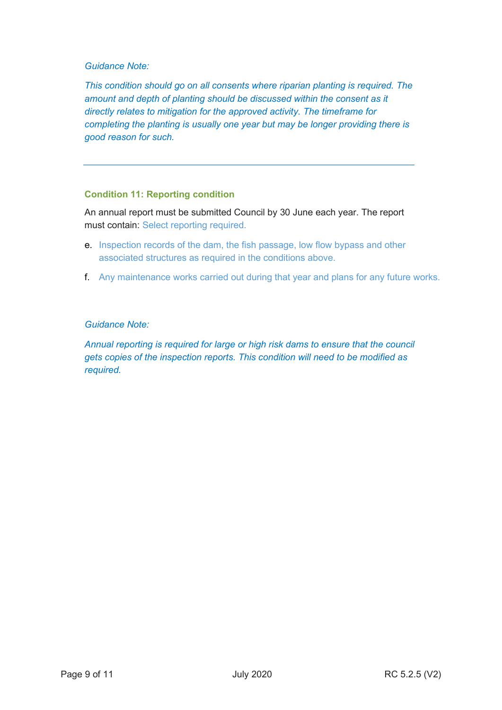## *Guidance Note:*

*This condition should go on all consents where riparian planting is required. The amount and depth of planting should be discussed within the consent as it directly relates to mitigation for the approved activity. The timeframe for completing the planting is usually one year but may be longer providing there is good reason for such.* 

## **Condition 11: Reporting condition**

An annual report must be submitted Council by 30 June each year. The report must contain: Select reporting required.

- e. Inspection records of the dam, the fish passage, low flow bypass and other associated structures as required in the conditions above.
- f. Any maintenance works carried out during that year and plans for any future works.

## *Guidance Note:*

*Annual reporting is required for large or high risk dams to ensure that the council gets copies of the inspection reports. This condition will need to be modified as required.*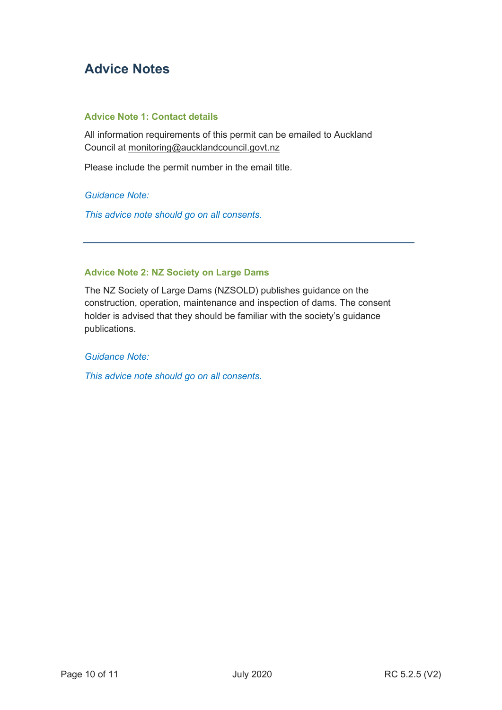## **Advice Notes**

## **Advice Note 1: Contact details**

All information requirements of this permit can be emailed to Auckland Council at monitoring@aucklandcouncil.govt.nz

Please include the permit number in the email title.

*Guidance Note:*

*This advice note should go on all consents.* 

## **Advice Note 2: NZ Society on Large Dams**

The NZ Society of Large Dams (NZSOLD) publishes guidance on the construction, operation, maintenance and inspection of dams. The consent holder is advised that they should be familiar with the society's guidance publications.

*Guidance Note:*

*This advice note should go on all consents.*